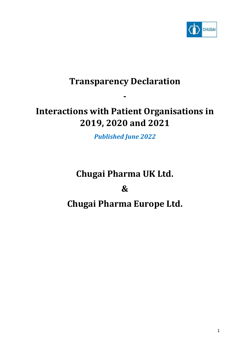

# **Transparency Declaration**

**-**

# **Interactions with Patient Organisations in 2019, 2020 and 2021**

*Published June 2022*

# **Chugai Pharma UK Ltd. & Chugai Pharma Europe Ltd.**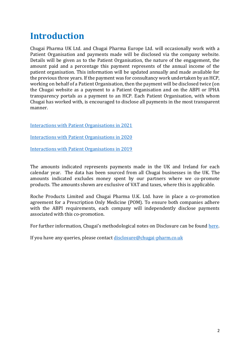## **Introduction**

Chugai Pharma UK Ltd. and Chugai Pharma Europe Ltd. will occasionally work with a Patient Organisation and payments made will be disclosed via the company website. Details will be given as to the Patient Organisation, the nature of the engagement, the amount paid and a percentage this payment represents of the annual income of the patient organisation. This information will be updated annually and made available for the previous three years. If the payment was for consultancy work undertaken by an HCP, working on behalf of a Patient Organisation, then the payment will be disclosed twice (on the Chugai website as a payment to a Patient Organisation and on the ABPI or IPHA transparency portals as a payment to an HCP. Each Patient Organisation, with whom Chugai has worked with, is encouraged to disclose all payments in the most transparent manner.

[Interactions with Patient Organisations in 2021](#page-2-0)

[Interactions with Patient Organisations in 2020](#page-4-0)

[Interactions with Patient Organisations in 2019](#page-6-0)

The amounts indicated represents payments made in the UK and Ireland for each calendar year. The data has been sourced from all Chugai businesses in the UK. The amounts indicated excludes money spent by our partners where we co-promote products. The amounts shown are exclusive of VAT and taxes, where this is applicable.

Roche Products Limited and Chugai Pharma U.K. Ltd. have in place a co-promotion agreement for a Prescription Only Medicine (POM). To ensure both companies adhere with the ABPI requirements, each company will independently disclose payments associated with this co-promotion.

For further information, Chugai's methodological notes on Disclosure can be found [here.](http://go.chugai.eu/uk_disclosure_methodology)

If you have any queries, please contact [disclosure@chugai-pharm.co.uk](mailto:disclosure@chugai-pharm.co.uk)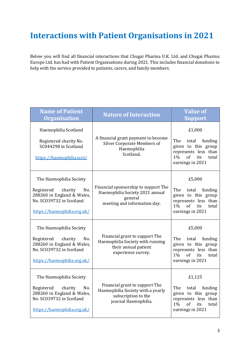### <span id="page-2-0"></span>**Interactions with Patient Organisations in 2021**

Below you will find all financial interactions that Chugai Pharma U.K. Ltd. and Chugai Pharma Europe Ltd. has had with Patient Organisations during 2021. This includes financial donations to help with the service provided to patients, carers, and family members.

| <b>Name of Patient</b><br><b>Organisation</b>                                                                                                    | <b>Nature of Interaction</b>                                                                                       | <b>Value of</b><br><b>Support</b>                                                                                                              |
|--------------------------------------------------------------------------------------------------------------------------------------------------|--------------------------------------------------------------------------------------------------------------------|------------------------------------------------------------------------------------------------------------------------------------------------|
| Haemophilia Scotland<br>Registered charity No.<br>SC044298 in Scotland<br>https://haemophilia.scot/                                              | A financial grant payment to become<br><b>Silver Corporate Members of</b><br>Haemophilia<br>Scotland.              | £1,000<br>The<br>total<br>funding<br>given to this group<br>represents less than<br>$1\%$<br>of<br>its<br>total<br>earnings in 2021            |
| The Haemophilia Society<br>No.<br>Registered<br>charity<br>288260 in England & Wales,<br>No. SCO39732 in Scotland<br>https://haemophilia.org.uk/ | Financial sponsorship to support The<br>Haemophilia Society 2021 annual<br>general<br>meeting and information day. | £5,000<br>The<br>total<br>funding<br>given to this group<br>represents less than<br>$1\%$<br>of<br>its<br>total<br>earnings in 2021            |
| The Haemophilia Society<br>Registered<br>charity<br>No.<br>288260 in England & Wales,<br>No. SCO39732 in Scotland<br>https://haemophilia.org.uk/ | Financial grant to support The<br>Haemophilia Society with running<br>their annual patient<br>experience survey.   | £5,000<br>The<br>funding<br>total<br>given to this group<br>represents less than<br>$1\%$<br><sub>of</sub><br>its<br>total<br>earnings in 2021 |
| The Haemophilia Society<br>Registered<br>charity<br>No.<br>288260 in England & Wales,<br>No. SCO39732 in Scotland<br>https://haemophilia.org.uk/ | Financial grant to support The<br>Haemophilia Society with a yearly<br>subscription to the<br>journal Haemophilia. | £1,125<br>The<br>total<br>funding<br>given to this group<br>represents less than<br>of<br>$1\%$<br>its<br>total<br>earnings in 2021            |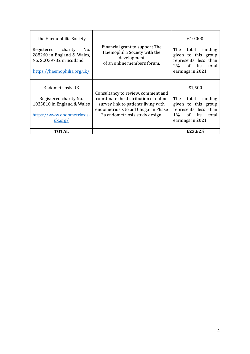| The Haemophilia Society<br>charity<br>Registered<br>No.<br>288260 in England & Wales,<br>No. SCO39732 in Scotland<br>https://haemophilia.org.uk/ | Financial grant to support The<br>Haemophilia Society with the<br>development<br>of an online members forum.                                                                                 | £10,000<br>The<br>funding<br>total<br>given to this group<br>represents less than<br>of its<br>$2\%$<br>total<br>earnings in 2021 |
|--------------------------------------------------------------------------------------------------------------------------------------------------|----------------------------------------------------------------------------------------------------------------------------------------------------------------------------------------------|-----------------------------------------------------------------------------------------------------------------------------------|
| Endometriosis UK<br>Registered charity No.<br>1035810 in England & Wales<br>https://www.endometriosis-<br>uk.org/                                | Consultancy to review, comment and<br>coordinate the distribution of online<br>survey link to patients living with<br>endometriosis to aid Chugai in Phase<br>2a endometriosis study design. | £1,500<br>The<br>funding<br>total<br>given to this group<br>represents less than<br>of its<br>$1\%$<br>total<br>earnings in 2021  |
| TOTAL                                                                                                                                            |                                                                                                                                                                                              | £23,625                                                                                                                           |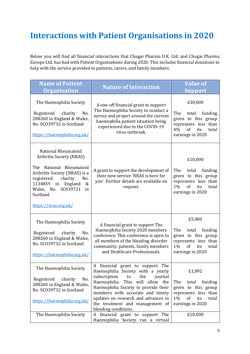## <span id="page-4-0"></span>**Interactions with Patient Organisations in 2020**

Below you will find all financial interactions that Chugai Pharma U.K. Ltd. and Chugai Pharma Europe Ltd. has had with Patient Organisations during 2020. This includes financial donations to help with the service provided to patients, carers, and family members.

| <b>Nature of Interaction</b>                                                                                                                                                                                                                                                                                                                                              | <b>Value of</b><br><b>Support</b>                                                                                                           |
|---------------------------------------------------------------------------------------------------------------------------------------------------------------------------------------------------------------------------------------------------------------------------------------------------------------------------------------------------------------------------|---------------------------------------------------------------------------------------------------------------------------------------------|
| A one-off financial grant to support<br>The Haemophilia Society to conduct a<br>survey and project around the current<br>haemophilia patient situation being<br>experienced due to the COVID-19<br>virus outbreak.                                                                                                                                                        | £30,000<br>The<br>total<br>funding<br>given to this group<br>represents less than<br>4%<br>of<br>its<br>total<br>earnings in 2020           |
| A grant to support the development of<br>their new service 'NRAS is here for<br>you'. Further details are available on<br>request.                                                                                                                                                                                                                                        | £10,000<br>The<br>funding<br>total<br>given to this group<br>represents less than<br>$1\%$<br>of<br>its<br>total<br>earnings in 2020        |
| A financial grant to support The<br>Haemophilia Society 2020 members<br>conference. This conference is open to<br>all members of the bleeding disorder<br>community: patients, family members<br>and Healthcare Professionals.                                                                                                                                            | £5,000<br>The<br>total funding<br>given to this group<br>represents less than<br>$1\%$<br>of<br>its<br>total<br>earnings in 2020            |
| financial<br>grant to support The<br>A<br>Haemophilia Society with a yearly<br>subscription<br>journal<br>to<br>the<br>Haemophilia. This will allow the<br>Haemophilia Society to provide their<br>members with accurate and timely<br>updates on research and advances in<br>the treatment and management of<br>bleeding conditions.<br>A financial grant to support The | £1,092<br>The<br>total<br>funding<br>given to this group<br>represents less than<br>1%<br>of<br>its<br>total<br>earnings in 2020<br>£10,000 |
|                                                                                                                                                                                                                                                                                                                                                                           | Haemophilia Society run a virtual                                                                                                           |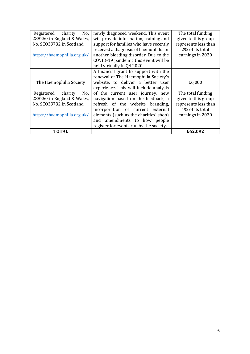| Registered<br>No.<br>charity | newly diagnosed weekend. This event     | The total funding    |
|------------------------------|-----------------------------------------|----------------------|
| 288260 in England & Wales,   | will provide information, training and  | given to this group  |
| No. SCO39732 in Scotland     | support for families who have recently  | represents less than |
|                              | received a diagnosis of haemophilia or  | 2% of its total      |
| https://haemophilia.org.uk/  | another bleeding disorder. Due to the   | earnings in 2020     |
|                              | COVID-19 pandemic this event will be    |                      |
|                              | held virtually in Q4 2020.              |                      |
|                              | A financial grant to support with the   |                      |
|                              | renewal of The Haemophilia Society's    |                      |
| The Haemophilia Society      | website, to deliver a better user       | £6,000               |
|                              | experience. This will include analysis  |                      |
| Registered<br>charity<br>No. | of the current user journey, new        | The total funding    |
| 288260 in England & Wales,   | navigation based on the feedback, a     | given to this group  |
| No. SCO39732 in Scotland     | refresh of the website branding,        | represents less than |
|                              | incorporation of current external       | 1% of its total      |
| https://haemophilia.org.uk/  | elements (such as the charities' shop)  | earnings in 2020     |
|                              | and amendments to how people            |                      |
|                              | register for events run by the society. |                      |
| <b>TOTAL</b>                 |                                         | £62,092              |